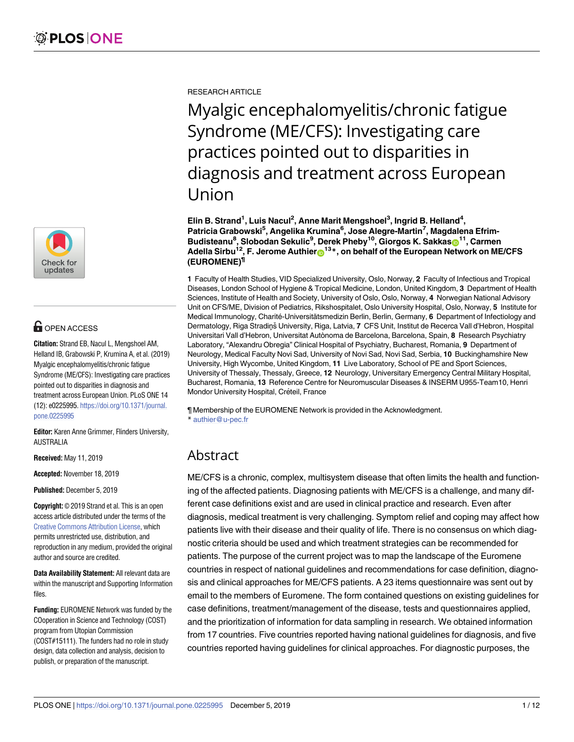

# **OPEN ACCESS**

**Citation:** Strand EB, Nacul L, Mengshoel AM, Helland IB, Grabowski P, Krumina A, et al. (2019) Myalgic encephalomyelitis/chronic fatigue Syndrome (ME/CFS): Investigating care practices pointed out to disparities in diagnosis and treatment across European Union. PLoS ONE 14 (12): e0225995. [https://doi.org/10.1371/journal.](https://doi.org/10.1371/journal.pone.0225995) [pone.0225995](https://doi.org/10.1371/journal.pone.0225995)

**Editor:** Karen Anne Grimmer, Flinders University, AUSTRALIA

**Received:** May 11, 2019

**Accepted:** November 18, 2019

**Published:** December 5, 2019

**Copyright:** © 2019 Strand et al. This is an open access article distributed under the terms of the Creative Commons [Attribution](http://creativecommons.org/licenses/by/4.0/) License, which permits unrestricted use, distribution, and reproduction in any medium, provided the original author and source are credited.

**Data Availability Statement:** All relevant data are within the manuscript and Supporting Information files.

**Funding:** EUROMENE Network was funded by the COoperation in Science and Technology (COST) program from Utopian Commission (COST#15111). The funders had no role in study design, data collection and analysis, decision to publish, or preparation of the manuscript.

RESEARCH ARTICLE

Myalgic encephalomyelitis/chronic fatigue Syndrome (ME/CFS): Investigating care practices pointed out to disparities in diagnosis and treatment across European Union

**Elin B. Strand1 , Luis Nacul2 , Anne Marit Mengshoel3 , Ingrid B. Helland4 , Patricia Grabowski5 , Angelika Krumina6 , Jose Alegre-Martin7 , Magdalena Efrim-** ${\bf B}$ udisteanu<sup>8</sup>, Slobodan Šekulic<sup>9</sup>, Derek Pheby<sup>10</sup>, Giorgos K. Sakkas $\boldsymbol{\odot}^{11}$ , Carmen **Adella Sirbu<sup>12</sup>, F. Jerome Authier<sup>®13</sup><sup>\*</sup>, on behalf of the European Network on ME/CFS (EUROMENE)¶**

**1** Faculty of Health Studies, VID Specialized University, Oslo, Norway, **2** Faculty of Infectious and Tropical Diseases, London School of Hygiene & Tropical Medicine, London, United Kingdom, **3** Department of Health Sciences, Institute of Health and Society, University of Oslo, Oslo, Norway, **4** Norwegian National Advisory Unit on CFS/ME, Division of Pediatrics, Rikshospitalet, Oslo University Hospital, Oslo, Norway, **5** Institute for Medical Immunology, Charité-Universitätsmedizin Berlin, Berlin, Germany, 6 Department of Infectiology and Dermatology, Riga Stradinı<sup>ğ</sup> University, Riga, Latvia, 7 CFS Unit, Institut de Recerca Vall d'Hebron, Hospital Universitari Vall d'Hebron, Universitat Autònoma de Barcelona, Barcelona, Spain, **8** Research Psychiatry Laboratory, "Alexandru Obregia" Clinical Hospital of Psychiatry, Bucharest, Romania, **9** Department of Neurology, Medical Faculty Novi Sad, University of Novi Sad, Novi Sad, Serbia, **10** Buckinghamshire New University, High Wycombe, United Kingdom, **11** Live Laboratory, School of PE and Sport Sciences, University of Thessaly, Thessaly, Greece, **12** Neurology, Universitary Emergency Central Military Hospital, Bucharest, Romania, **13** Reference Centre for Neuromuscular Diseases & INSERM U955-Team10, Henri Mondor University Hospital, Créteil, France

¶ Membership of the EUROMENE Network is provided in the Acknowledgment. \* authier@u-pec.fr

# Abstract

ME/CFS is a chronic, complex, multisystem disease that often limits the health and functioning of the affected patients. Diagnosing patients with ME/CFS is a challenge, and many different case definitions exist and are used in clinical practice and research. Even after diagnosis, medical treatment is very challenging. Symptom relief and coping may affect how patients live with their disease and their quality of life. There is no consensus on which diagnostic criteria should be used and which treatment strategies can be recommended for patients. The purpose of the current project was to map the landscape of the Euromene countries in respect of national guidelines and recommendations for case definition, diagnosis and clinical approaches for ME/CFS patients. A 23 items questionnaire was sent out by email to the members of Euromene. The form contained questions on existing guidelines for case definitions, treatment/management of the disease, tests and questionnaires applied, and the prioritization of information for data sampling in research. We obtained information from 17 countries. Five countries reported having national guidelines for diagnosis, and five countries reported having guidelines for clinical approaches. For diagnostic purposes, the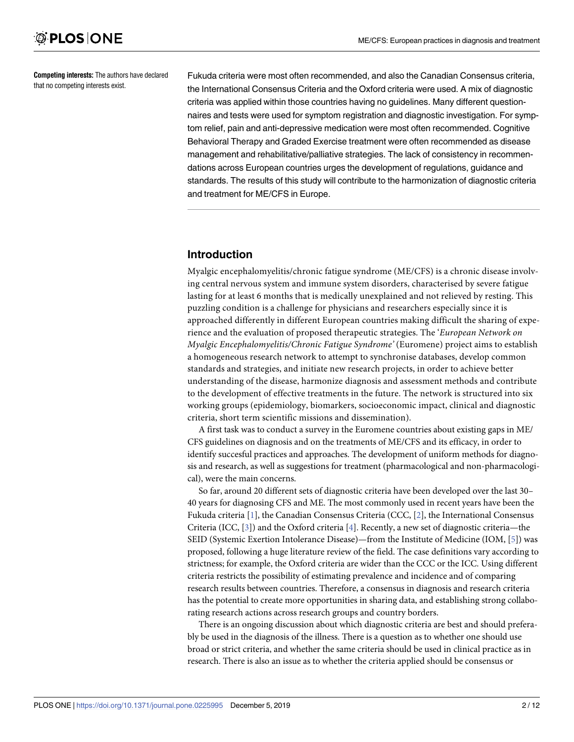<span id="page-1-0"></span>**Competing interests:** The authors have declared that no competing interests exist.

Fukuda criteria were most often recommended, and also the Canadian Consensus criteria, the International Consensus Criteria and the Oxford criteria were used. A mix of diagnostic criteria was applied within those countries having no guidelines. Many different questionnaires and tests were used for symptom registration and diagnostic investigation. For symptom relief, pain and anti-depressive medication were most often recommended. Cognitive Behavioral Therapy and Graded Exercise treatment were often recommended as disease management and rehabilitative/palliative strategies. The lack of consistency in recommendations across European countries urges the development of regulations, guidance and standards. The results of this study will contribute to the harmonization of diagnostic criteria and treatment for ME/CFS in Europe.

# **Introduction**

Myalgic encephalomyelitis/chronic fatigue syndrome (ME/CFS) is a chronic disease involving central nervous system and immune system disorders, characterised by severe fatigue lasting for at least 6 months that is medically unexplained and not relieved by resting. This puzzling condition is a challenge for physicians and researchers especially since it is approached differently in different European countries making difficult the sharing of experience and the evaluation of proposed therapeutic strategies. The '*European Network on Myalgic Encephalomyelitis/Chronic Fatigue Syndrome'* (Euromene) project aims to establish a homogeneous research network to attempt to synchronise databases, develop common standards and strategies, and initiate new research projects, in order to achieve better understanding of the disease, harmonize diagnosis and assessment methods and contribute to the development of effective treatments in the future. The network is structured into six working groups (epidemiology, biomarkers, socioeconomic impact, clinical and diagnostic criteria, short term scientific missions and dissemination).

A first task was to conduct a survey in the Euromene countries about existing gaps in ME/ CFS guidelines on diagnosis and on the treatments of ME/CFS and its efficacy, in order to identify succesful practices and approaches. The development of uniform methods for diagnosis and research, as well as suggestions for treatment (pharmacological and non-pharmacological), were the main concerns.

So far, around 20 different sets of diagnostic criteria have been developed over the last 30– 40 years for diagnosing CFS and ME. The most commonly used in recent years have been the Fukuda criteria [[1\]](#page-10-0), the Canadian Consensus Criteria (CCC, [\[2](#page-10-0)], the International Consensus Criteria (ICC, [\[3\]](#page-10-0)) and the Oxford criteria [\[4\]](#page-10-0). Recently, a new set of diagnostic criteria—the SEID (Systemic Exertion Intolerance Disease)—from the Institute of Medicine (IOM, [\[5\]](#page-10-0)) was proposed, following a huge literature review of the field. The case definitions vary according to strictness; for example, the Oxford criteria are wider than the CCC or the ICC. Using different criteria restricts the possibility of estimating prevalence and incidence and of comparing research results between countries. Therefore, a consensus in diagnosis and research criteria has the potential to create more opportunities in sharing data, and establishing strong collaborating research actions across research groups and country borders.

There is an ongoing discussion about which diagnostic criteria are best and should preferably be used in the diagnosis of the illness. There is a question as to whether one should use broad or strict criteria, and whether the same criteria should be used in clinical practice as in research. There is also an issue as to whether the criteria applied should be consensus or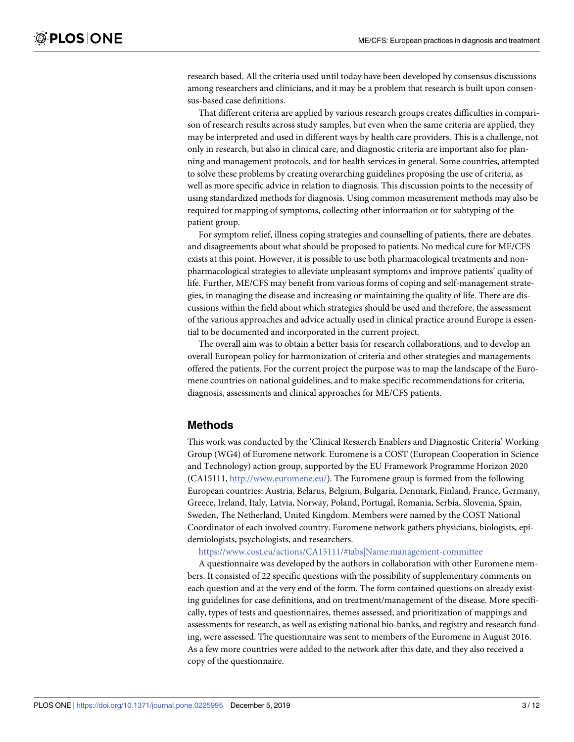research based. All the criteria used until today have been developed by consensus discussions among researchers and clinicians, and it may be a problem that research is built upon consensus-based case definitions.

That different criteria are applied by various research groups creates difficulties in comparison of research results across study samples, but even when the same criteria are applied, they may be interpreted and used in different ways by health care providers. This is a challenge, not only in research, but also in clinical care, and diagnostic criteria are important also for planning and management protocols, and for health services in general. Some countries, attempted to solve these problems by creating overarching guidelines proposing the use of criteria, as well as more specific advice in relation to diagnosis. This discussion points to the necessity of using standardized methods for diagnosis. Using common measurement methods may also be required for mapping of symptoms, collecting other information or for subtyping of the patient group.

For symptom relief, illness coping strategies and counselling of patients, there are debates and disagreements about what should be proposed to patients. No medical cure for ME/CFS exists at this point. However, it is possible to use both pharmacological treatments and nonpharmacological strategies to alleviate unpleasant symptoms and improve patients' quality of life. Further, ME/CFS may benefit from various forms of coping and self-management strategies, in managing the disease and increasing or maintaining the quality of life. There are discussions within the field about which strategies should be used and therefore, the assessment of the various approaches and advice actually used in clinical practice around Europe is essential to be documented and incorporated in the current project.

The overall aim was to obtain a better basis for research collaborations, and to develop an overall European policy for harmonization of criteria and other strategies and managements offered the patients. For the current project the purpose was to map the landscape of the Euromene countries on national guidelines, and to make specific recommendations for criteria, diagnosis, assessments and clinical approaches for ME/CFS patients.

#### **Methods**

This work was conducted by the 'Clinical Resaerch Enablers and Diagnostic Criteria' Working Group (WG4) of Euromene network. Euromene is a COST (European Cooperation in Science and Technology) action group, supported by the EU Framework Programme Horizon 2020 (CA15111, [http://www.euromene.eu/\)](http://www.euromene.eu/). The Euromene group is formed from the following European countries: Austria, Belarus, Belgium, Bulgaria, Denmark, Finland, France, Germany, Greece, Ireland, Italy, Latvia, Norway, Poland, Portugal, Romania, Serbia, Slovenia, Spain, Sweden, The Netherland, United Kingdom. Members were named by the COST National Coordinator of each involved country. Euromene network gathers physicians, biologists, epidemiologists, psychologists, and researchers.

<https://www.cost.eu/actions/CA15111/#tabs|Name:management-committee>

A questionnaire was developed by the authors in collaboration with other Euromene members. It consisted of 22 specific questions with the possibility of supplementary comments on each question and at the very end of the form. The form contained questions on already existing guidelines for case definitions, and on treatment/management of the disease. More specifically, types of tests and questionnaires, themes assessed, and prioritization of mappings and assessments for research, as well as existing national bio-banks, and registry and research funding, were assessed. The questionnaire was sent to members of the Euromene in August 2016. As a few more countries were added to the network after this date, and they also received a copy of the questionnaire.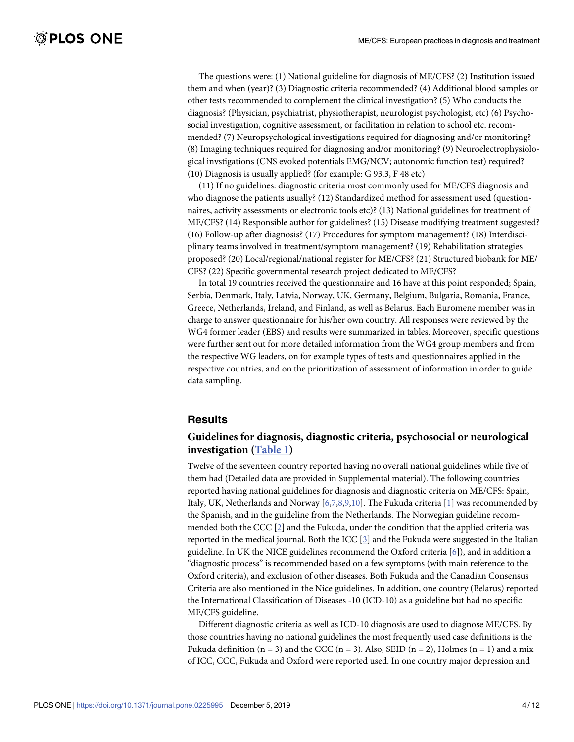<span id="page-3-0"></span>The questions were: (1) National guideline for diagnosis of ME/CFS? (2) Institution issued them and when (year)? (3) Diagnostic criteria recommended? (4) Additional blood samples or other tests recommended to complement the clinical investigation? (5) Who conducts the diagnosis? (Physician, psychiatrist, physiotherapist, neurologist psychologist, etc) (6) Psychosocial investigation, cognitive assessment, or facilitation in relation to school etc. recommended? (7) Neuropsychological investigations required for diagnosing and/or monitoring? (8) Imaging techniques required for diagnosing and/or monitoring? (9) Neuroelectrophysiological invstigations (CNS evoked potentials EMG/NCV; autonomic function test) required? (10) Diagnosis is usually applied? (for example: G 93.3, F 48 etc)

(11) If no guidelines: diagnostic criteria most commonly used for ME/CFS diagnosis and who diagnose the patients usually? (12) Standardized method for assessment used (questionnaires, activity assessments or electronic tools etc)? (13) National guidelines for treatment of ME/CFS? (14) Responsible author for guidelines? (15) Disease modifying treatment suggested? (16) Follow-up after diagnosis? (17) Procedures for symptom management? (18) Interdisciplinary teams involved in treatment/symptom management? (19) Rehabilitation strategies proposed? (20) Local/regional/national register for ME/CFS? (21) Structured biobank for ME/ CFS? (22) Specific governmental research project dedicated to ME/CFS?

In total 19 countries received the questionnaire and 16 have at this point responded; Spain, Serbia, Denmark, Italy, Latvia, Norway, UK, Germany, Belgium, Bulgaria, Romania, France, Greece, Netherlands, Ireland, and Finland, as well as Belarus. Each Euromene member was in charge to answer questionnaire for his/her own country. All responses were reviewed by the WG4 former leader (EBS) and results were summarized in tables. Moreover, specific questions were further sent out for more detailed information from the WG4 group members and from the respective WG leaders, on for example types of tests and questionnaires applied in the respective countries, and on the prioritization of assessment of information in order to guide data sampling.

#### **Results**

## **Guidelines for diagnosis, diagnostic criteria, psychosocial or neurological investigation ([Table](#page-4-0) 1)**

Twelve of the seventeen country reported having no overall national guidelines while five of them had (Detailed data are provided in Supplemental material). The following countries reported having national guidelines for diagnosis and diagnostic criteria on ME/CFS: Spain, Italy, UK, Netherlands and Norway [[6](#page-10-0),[7](#page-10-0),[8](#page-10-0),[9](#page-10-0),[10](#page-10-0)]. The Fukuda criteria [[1](#page-10-0)] was recommended by the Spanish, and in the guideline from the Netherlands. The Norwegian guideline recommended both the CCC  $[2]$  $[2]$  $[2]$  and the Fukuda, under the condition that the applied criteria was reported in the medical journal. Both the ICC [[3\]](#page-10-0) and the Fukuda were suggested in the Italian guideline. In UK the NICE guidelines recommend the Oxford criteria [[6](#page-10-0)]), and in addition a "diagnostic process" is recommended based on a few symptoms (with main reference to the Oxford criteria), and exclusion of other diseases. Both Fukuda and the Canadian Consensus Criteria are also mentioned in the Nice guidelines. In addition, one country (Belarus) reported the International Classification of Diseases -10 (ICD-10) as a guideline but had no specific ME/CFS guideline.

Different diagnostic criteria as well as ICD-10 diagnosis are used to diagnose ME/CFS. By those countries having no national guidelines the most frequently used case definitions is the Fukuda definition (n = 3) and the CCC (n = 3). Also, SEID (n = 2), Holmes (n = 1) and a mix of ICC, CCC, Fukuda and Oxford were reported used. In one country major depression and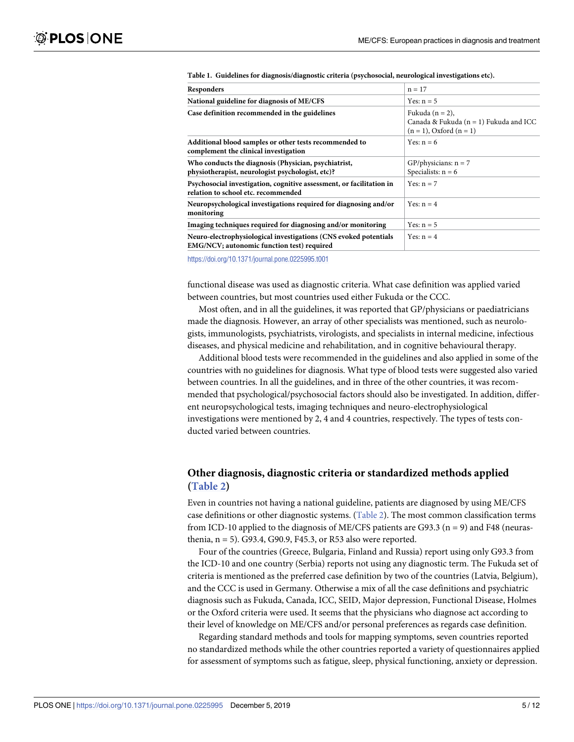| Responders                                                                                                     | $n = 17$                                                                                         |
|----------------------------------------------------------------------------------------------------------------|--------------------------------------------------------------------------------------------------|
| National guideline for diagnosis of ME/CFS                                                                     | Yes: $n = 5$                                                                                     |
| Case definition recommended in the guidelines                                                                  | Fukuda $(n = 2)$ ,<br>Canada & Fukuda ( $n = 1$ ) Fukuda and ICC<br>$(n = 1)$ , Oxford $(n = 1)$ |
| Additional blood samples or other tests recommended to<br>complement the clinical investigation                | Yes: $n = 6$                                                                                     |
| Who conducts the diagnosis (Physician, psychiatrist,<br>physiotherapist, neurologist psychologist, etc)?       | GP/physicians: $n = 7$<br>Specialists: $n = 6$                                                   |
| Psychosocial investigation, cognitive assessment, or facilitation in<br>relation to school etc. recommended    | Yes: $n = 7$                                                                                     |
| Neuropsychological investigations required for diagnosing and/or<br>monitoring                                 | Yes: $n = 4$                                                                                     |
| Imaging techniques required for diagnosing and/or monitoring                                                   | Yes: $n = 5$                                                                                     |
| Neuro-electrophysiological investigations (CNS evoked potentials<br>EMG/NCV; autonomic function test) required | Yes: $n = 4$                                                                                     |

<span id="page-4-0"></span>**[Table](#page-3-0) 1. Guidelines for diagnosis/diagnostic criteria (psychosocial, neurological investigations etc).**

<https://doi.org/10.1371/journal.pone.0225995.t001>

functional disease was used as diagnostic criteria. What case definition was applied varied between countries, but most countries used either Fukuda or the CCC.

Most often, and in all the guidelines, it was reported that GP/physicians or paediatricians made the diagnosis. However, an array of other specialists was mentioned, such as neurologists, immunologists, psychiatrists, virologists, and specialists in internal medicine, infectious diseases, and physical medicine and rehabilitation, and in cognitive behavioural therapy.

Additional blood tests were recommended in the guidelines and also applied in some of the countries with no guidelines for diagnosis. What type of blood tests were suggested also varied between countries. In all the guidelines, and in three of the other countries, it was recommended that psychological/psychosocial factors should also be investigated. In addition, different neuropsychological tests, imaging techniques and neuro-electrophysiological investigations were mentioned by 2, 4 and 4 countries, respectively. The types of tests conducted varied between countries.

## **Other diagnosis, diagnostic criteria or standardized methods applied [\(Table](#page-5-0) 2)**

Even in countries not having a national guideline, patients are diagnosed by using ME/CFS case definitions or other diagnostic systems. [\(Table](#page-5-0) 2). The most common classification terms from ICD-10 applied to the diagnosis of ME/CFS patients are G93.3 ( $n = 9$ ) and F48 (neurasthenia, n = 5). G93.4, G90.9, F45.3, or R53 also were reported.

Four of the countries (Greece, Bulgaria, Finland and Russia) report using only G93.3 from the ICD-10 and one country (Serbia) reports not using any diagnostic term. The Fukuda set of criteria is mentioned as the preferred case definition by two of the countries (Latvia, Belgium), and the CCC is used in Germany. Otherwise a mix of all the case definitions and psychiatric diagnosis such as Fukuda, Canada, ICC, SEID, Major depression, Functional Disease, Holmes or the Oxford criteria were used. It seems that the physicians who diagnose act according to their level of knowledge on ME/CFS and/or personal preferences as regards case definition.

Regarding standard methods and tools for mapping symptoms, seven countries reported no standardized methods while the other countries reported a variety of questionnaires applied for assessment of symptoms such as fatigue, sleep, physical functioning, anxiety or depression.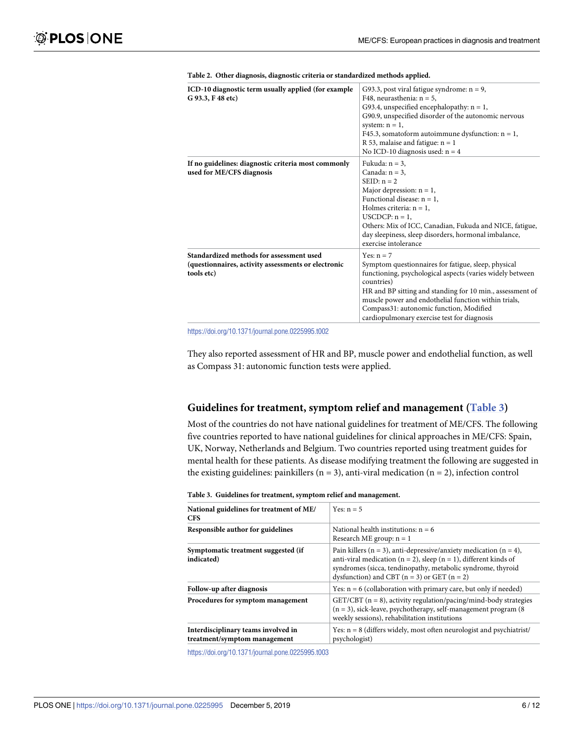<span id="page-5-0"></span>

| ICD-10 diagnostic term usually applied (for example<br>G 93.3, F 48 etc)                                      | G93.3, post viral fatigue syndrome: $n = 9$ ,<br>F48, neurasthenia: $n = 5$ ,<br>G93.4, unspecified encephalopathy: $n = 1$ ,<br>G90.9, unspecified disorder of the autonomic nervous<br>system: $n = 1$ ,<br>F45.3, somatoform autoimmune dysfunction: $n = 1$ ,<br>R 53, malaise and fatigue: $n = 1$                                                       |
|---------------------------------------------------------------------------------------------------------------|---------------------------------------------------------------------------------------------------------------------------------------------------------------------------------------------------------------------------------------------------------------------------------------------------------------------------------------------------------------|
| If no guidelines: diagnostic criteria most commonly<br>used for ME/CFS diagnosis                              | No ICD-10 diagnosis used: $n = 4$<br>Fukuda: $n = 3$ ,<br>Canada: $n = 3$ ,<br>$SEID: n = 2$<br>Major depression: $n = 1$ ,<br>Functional disease: $n = 1$ ,<br>Holmes criteria: $n = 1$ ,<br>$USCDCP: n = 1$ ,<br>Others: Mix of ICC, Canadian, Fukuda and NICE, fatigue,<br>day sleepiness, sleep disorders, hormonal imbalance,<br>exercise intolerance    |
| Standardized methods for assessment used<br>(questionnaires, activity assessments or electronic<br>tools etc) | Yes: $n = 7$<br>Symptom questionnaires for fatigue, sleep, physical<br>functioning, psychological aspects (varies widely between<br>countries)<br>HR and BP sitting and standing for 10 min., assessment of<br>muscle power and endothelial function within trials,<br>Compass31: autonomic function, Modified<br>cardiopulmonary exercise test for diagnosis |

| Table 2. Other diagnosis, diagnostic criteria or standardized methods applied. |
|--------------------------------------------------------------------------------|
|--------------------------------------------------------------------------------|

<https://doi.org/10.1371/journal.pone.0225995.t002>

They also reported assessment of HR and BP, muscle power and endothelial function, as well as Compass 31: autonomic function tests were applied.

#### **Guidelines for treatment, symptom relief and management (Table 3)**

Most of the countries do not have national guidelines for treatment of ME/CFS. The following five countries reported to have national guidelines for clinical approaches in ME/CFS: Spain, UK, Norway, Netherlands and Belgium. Two countries reported using treatment guides for mental health for these patients. As disease modifying treatment the following are suggested in the existing guidelines: painkillers ( $n = 3$ ), anti-viral medication ( $n = 2$ ), infection control

| National guidelines for treatment of ME/<br><b>CFS</b>              | Yes: $n = 5$                                                                                                                                                                                                                                                            |
|---------------------------------------------------------------------|-------------------------------------------------------------------------------------------------------------------------------------------------------------------------------------------------------------------------------------------------------------------------|
| Responsible author for guidelines                                   | National health institutions: $n = 6$<br>Research ME group: $n = 1$                                                                                                                                                                                                     |
| Symptomatic treatment suggested (if<br>indicated)                   | Pain killers ( $n = 3$ ), anti-depressive/anxiety medication ( $n = 4$ ),<br>anti-viral medication ( $n = 2$ ), sleep ( $n = 1$ ), different kinds of<br>syndromes (sicca, tendinopathy, metabolic syndrome, thyroid<br>dysfunction) and CBT $(n = 3)$ or GET $(n = 2)$ |
| Follow-up after diagnosis                                           | Yes: $n = 6$ (collaboration with primary care, but only if needed)                                                                                                                                                                                                      |
| Procedures for symptom management                                   | $GET/CBT$ ( $n = 8$ ), activity regulation/pacing/mind-body strategies<br>$(n = 3)$ , sick-leave, psychotherapy, self-management program (8)<br>weekly sessions), rehabilitation institutions                                                                           |
| Interdisciplinary teams involved in<br>treatment/symptom management | Yes: $n = 8$ (differs widely, most often neurologist and psychiatrist/<br>psychologist)                                                                                                                                                                                 |

**Table 3. Guidelines for treatment, symptom relief and management.**

<https://doi.org/10.1371/journal.pone.0225995.t003>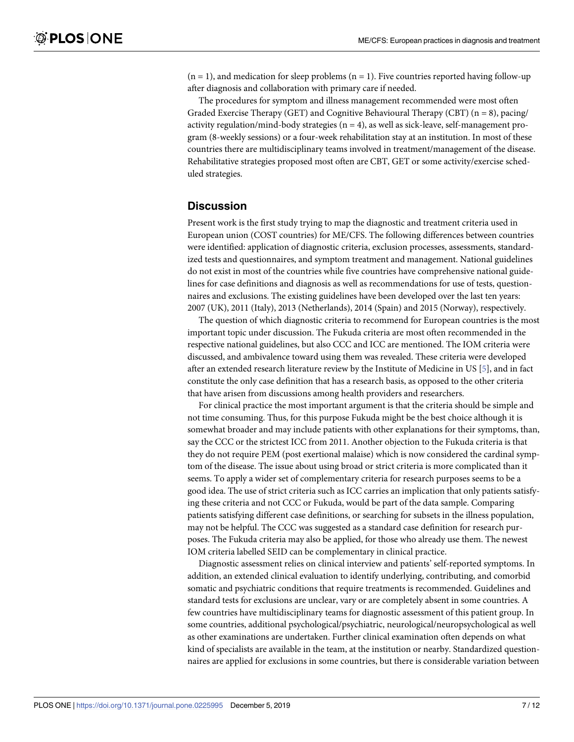$(n = 1)$ , and medication for sleep problems  $(n = 1)$ . Five countries reported having follow-up after diagnosis and collaboration with primary care if needed.

The procedures for symptom and illness management recommended were most often Graded Exercise Therapy (GET) and Cognitive Behavioural Therapy (CBT)  $(n = 8)$ , pacing/ activity regulation/mind-body strategies  $(n = 4)$ , as well as sick-leave, self-management program (8-weekly sessions) or a four-week rehabilitation stay at an institution. In most of these countries there are multidisciplinary teams involved in treatment/management of the disease. Rehabilitative strategies proposed most often are CBT, GET or some activity/exercise scheduled strategies.

### **Discussion**

Present work is the first study trying to map the diagnostic and treatment criteria used in European union (COST countries) for ME/CFS. The following differences between countries were identified: application of diagnostic criteria, exclusion processes, assessments, standardized tests and questionnaires, and symptom treatment and management. National guidelines do not exist in most of the countries while five countries have comprehensive national guidelines for case definitions and diagnosis as well as recommendations for use of tests, questionnaires and exclusions. The existing guidelines have been developed over the last ten years: 2007 (UK), 2011 (Italy), 2013 (Netherlands), 2014 (Spain) and 2015 (Norway), respectively.

The question of which diagnostic criteria to recommend for European countries is the most important topic under discussion. The Fukuda criteria are most often recommended in the respective national guidelines, but also CCC and ICC are mentioned. The IOM criteria were discussed, and ambivalence toward using them was revealed. These criteria were developed after an extended research literature review by the Institute of Medicine in US [\[5\]](#page-10-0), and in fact constitute the only case definition that has a research basis, as opposed to the other criteria that have arisen from discussions among health providers and researchers.

For clinical practice the most important argument is that the criteria should be simple and not time consuming. Thus, for this purpose Fukuda might be the best choice although it is somewhat broader and may include patients with other explanations for their symptoms, than, say the CCC or the strictest ICC from 2011. Another objection to the Fukuda criteria is that they do not require PEM (post exertional malaise) which is now considered the cardinal symptom of the disease. The issue about using broad or strict criteria is more complicated than it seems. To apply a wider set of complementary criteria for research purposes seems to be a good idea. The use of strict criteria such as ICC carries an implication that only patients satisfying these criteria and not CCC or Fukuda, would be part of the data sample. Comparing patients satisfying different case definitions, or searching for subsets in the illness population, may not be helpful. The CCC was suggested as a standard case definition for research purposes. The Fukuda criteria may also be applied, for those who already use them. The newest IOM criteria labelled SEID can be complementary in clinical practice.

Diagnostic assessment relies on clinical interview and patients' self-reported symptoms. In addition, an extended clinical evaluation to identify underlying, contributing, and comorbid somatic and psychiatric conditions that require treatments is recommended. Guidelines and standard tests for exclusions are unclear, vary or are completely absent in some countries. A few countries have multidisciplinary teams for diagnostic assessment of this patient group. In some countries, additional psychological/psychiatric, neurological/neuropsychological as well as other examinations are undertaken. Further clinical examination often depends on what kind of specialists are available in the team, at the institution or nearby. Standardized questionnaires are applied for exclusions in some countries, but there is considerable variation between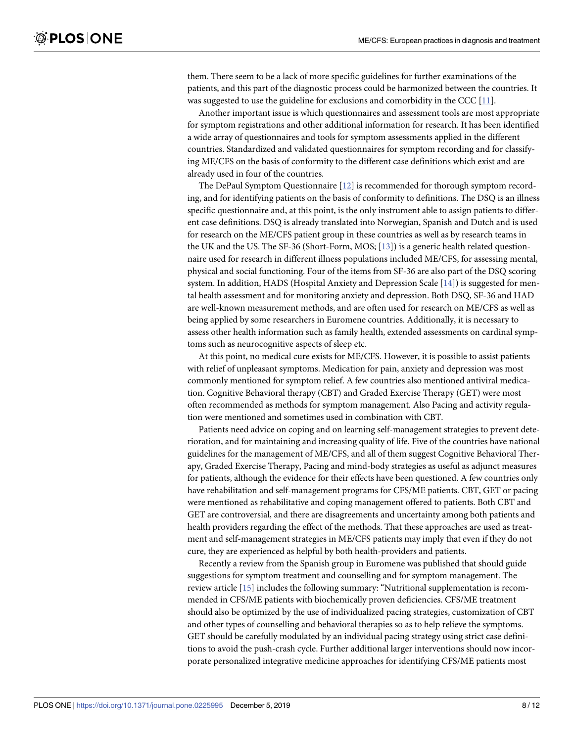<span id="page-7-0"></span>them. There seem to be a lack of more specific guidelines for further examinations of the patients, and this part of the diagnostic process could be harmonized between the countries. It was suggested to use the guideline for exclusions and comorbidity in the CCC [\[11\]](#page-10-0).

Another important issue is which questionnaires and assessment tools are most appropriate for symptom registrations and other additional information for research. It has been identified a wide array of questionnaires and tools for symptom assessments applied in the different countries. Standardized and validated questionnaires for symptom recording and for classifying ME/CFS on the basis of conformity to the different case definitions which exist and are already used in four of the countries.

The DePaul Symptom Questionnaire [\[12\]](#page-11-0) is recommended for thorough symptom recording, and for identifying patients on the basis of conformity to definitions. The DSQ is an illness specific questionnaire and, at this point, is the only instrument able to assign patients to different case definitions. DSQ is already translated into Norwegian, Spanish and Dutch and is used for research on the ME/CFS patient group in these countries as well as by research teams in the UK and the US. The SF-36 (Short-Form, MOS; [\[13\]](#page-11-0)) is a generic health related questionnaire used for research in different illness populations included ME/CFS, for assessing mental, physical and social functioning. Four of the items from SF-36 are also part of the DSQ scoring system. In addition, HADS (Hospital Anxiety and Depression Scale [\[14\]](#page-11-0)) is suggested for mental health assessment and for monitoring anxiety and depression. Both DSQ, SF-36 and HAD are well-known measurement methods, and are often used for research on ME/CFS as well as being applied by some researchers in Euromene countries. Additionally, it is necessary to assess other health information such as family health, extended assessments on cardinal symptoms such as neurocognitive aspects of sleep etc.

At this point, no medical cure exists for ME/CFS. However, it is possible to assist patients with relief of unpleasant symptoms. Medication for pain, anxiety and depression was most commonly mentioned for symptom relief. A few countries also mentioned antiviral medication. Cognitive Behavioral therapy (CBT) and Graded Exercise Therapy (GET) were most often recommended as methods for symptom management. Also Pacing and activity regulation were mentioned and sometimes used in combination with CBT.

Patients need advice on coping and on learning self-management strategies to prevent deterioration, and for maintaining and increasing quality of life. Five of the countries have national guidelines for the management of ME/CFS, and all of them suggest Cognitive Behavioral Therapy, Graded Exercise Therapy, Pacing and mind-body strategies as useful as adjunct measures for patients, although the evidence for their effects have been questioned. A few countries only have rehabilitation and self-management programs for CFS/ME patients. CBT, GET or pacing were mentioned as rehabilitative and coping management offered to patients. Both CBT and GET are controversial, and there are disagreements and uncertainty among both patients and health providers regarding the effect of the methods. That these approaches are used as treatment and self-management strategies in ME/CFS patients may imply that even if they do not cure, they are experienced as helpful by both health-providers and patients.

Recently a review from the Spanish group in Euromene was published that should guide suggestions for symptom treatment and counselling and for symptom management. The review article [[15](#page-11-0)] includes the following summary: "Nutritional supplementation is recommended in CFS/ME patients with biochemically proven deficiencies. CFS/ME treatment should also be optimized by the use of individualized pacing strategies, customization of CBT and other types of counselling and behavioral therapies so as to help relieve the symptoms. GET should be carefully modulated by an individual pacing strategy using strict case definitions to avoid the push-crash cycle. Further additional larger interventions should now incorporate personalized integrative medicine approaches for identifying CFS/ME patients most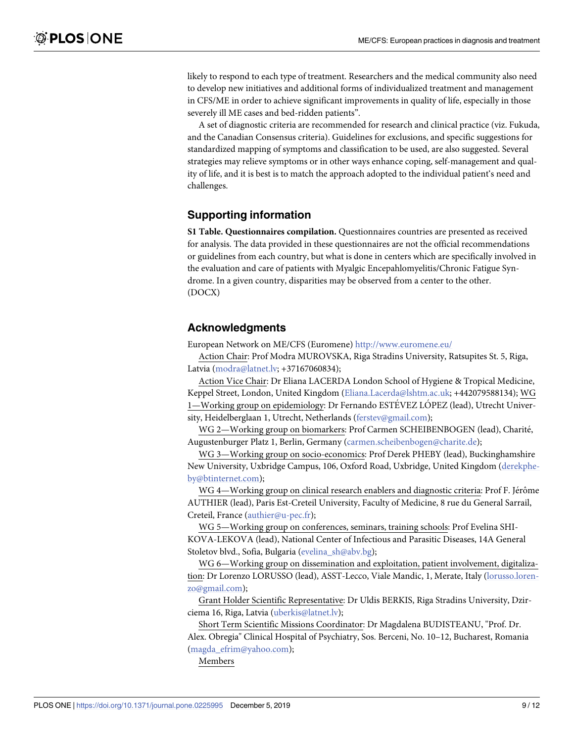likely to respond to each type of treatment. Researchers and the medical community also need to develop new initiatives and additional forms of individualized treatment and management in CFS/ME in order to achieve significant improvements in quality of life, especially in those severely ill ME cases and bed-ridden patients".

A set of diagnostic criteria are recommended for research and clinical practice (viz. Fukuda, and the Canadian Consensus criteria). Guidelines for exclusions, and specific suggestions for standardized mapping of symptoms and classification to be used, are also suggested. Several strategies may relieve symptoms or in other ways enhance coping, self-management and quality of life, and it is best is to match the approach adopted to the individual patient's need and challenges.

# **Supporting information**

**S1 [Table.](http://www.plosone.org/article/fetchSingleRepresentation.action?uri=info:doi/10.1371/journal.pone.0225995.s001) Questionnaires compilation.** Questionnaires countries are presented as received for analysis. The data provided in these questionnaires are not the official recommendations or guidelines from each country, but what is done in centers which are specifically involved in the evaluation and care of patients with Myalgic Encepahlomyelitis/Chronic Fatigue Syndrome. In a given country, disparities may be observed from a center to the other. (DOCX)

## **Acknowledgments**

European Network on ME/CFS (Euromene) <http://www.euromene.eu/>

Action Chair: Prof Modra MUROVSKA, Riga Stradins University, Ratsupites St. 5, Riga, Latvia (modra@latnet.lv; +37167060834);

Action Vice Chair: Dr Eliana LACERDA London School of Hygiene & Tropical Medicine, Keppel Street, London, United Kingdom (Eliana.Lacerda@lshtm.ac.uk; +442079588134); WG 1—Working group on epidemiology: Dr Fernando ESTÉVEZ LOPEZ (lead), Utrecht University, Heidelberglaan 1, Utrecht, Netherlands (ferstev@gmail.com);

WG 2—Working group on biomarkers: Prof Carmen SCHEIBENBOGEN (lead), Charité, Augustenburger Platz 1, Berlin, Germany (carmen.scheibenbogen@charite.de);

WG 3—Working group on socio-economics: Prof Derek PHEBY (lead), Buckinghamshire New University, Uxbridge Campus, 106, Oxford Road, Uxbridge, United Kingdom (derekpheby@btinternet.com);

WG 4—Working group on clinical research enablers and diagnostic criteria: Prof F. Jérôme AUTHIER (lead), Paris Est-Creteil University, Faculty of Medicine, 8 rue du General Sarrail, Creteil, France (authier@u-pec.fr);

WG 5—Working group on conferences, seminars, training schools: Prof Evelina SHI-KOVA-LEKOVA (lead), National Center of Infectious and Parasitic Diseases, 14A General Stoletov blvd., Sofia, Bulgaria (evelina\_sh@abv.bg);

WG 6—Working group on dissemination and exploitation, patient involvement, digitalization: Dr Lorenzo LORUSSO (lead), ASST-Lecco, Viale Mandic, 1, Merate, Italy (lorusso.lorenzo@gmail.com);

Grant Holder Scientific Representative: Dr Uldis BERKIS, Riga Stradins University, Dzirciema 16, Riga, Latvia (uberkis@latnet.lv);

Short Term Scientific Missions Coordinator: Dr Magdalena BUDISTEANU, "Prof. Dr. Alex. Obregia" Clinical Hospital of Psychiatry, Sos. Berceni, No. 10–12, Bucharest, Romania (magda\_efrim@yahoo.com);

Members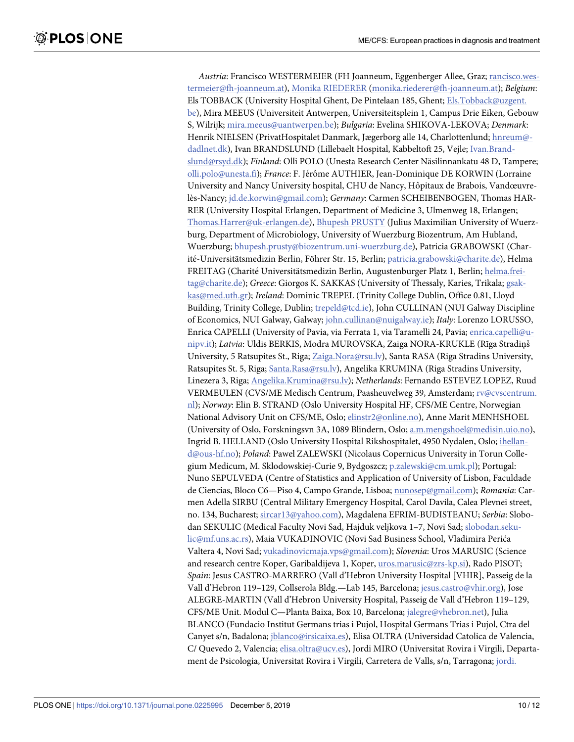*Austria*: Francisco WESTERMEIER (FH Joanneum, Eggenberger Allee, Graz; rancisco.westermeier@fh-joanneum.at), Monika [RIEDERER](https://www.cost.eu/actions/CA15111/211992) (monika.riederer@fh-joanneum.at); *Belgium*: Els TOBBACK (University Hospital Ghent, De Pintelaan 185, Ghent; Els.Tobback@uzgent. be), Mira MEEUS (Universiteit Antwerpen, Universiteitsplein 1, Campus Drie Eiken, Gebouw S, Wilrijk; mira.meeus@uantwerpen.be); *Bulgaria*: Evelina SHIKOVA-LEKOVA; *Denmark*: Henrik NIELSEN (PrivatHospitalet Danmark, Jægerborg alle 14, Charlottenlund; hnreum@ dadlnet.dk), Ivan BRANDSLUND (Lillebaelt Hospital, Kabbeltoft 25, Vejle; Ivan.Brandslund@rsyd.dk); *Finland*: Olli POLO (Unesta Research Center Näsilinnankatu 48 D, Tampere; olli.polo@unesta.fi); *France*: F. Jérôme AUTHIER, Jean-Dominique DE KORWIN (Lorraine University and Nancy University hospital, CHU de Nancy, Hôpitaux de Brabois, Vandœuvrelès-Nancy; jd.de.korwin@gmail.com); *Germany*: Carmen SCHEIBENBOGEN, Thomas HAR-RER (University Hospital Erlangen, Department of Medicine 3, Ulmenweg 18, Erlangen; Thomas.Harrer@uk-erlangen.de), Bhupesh [PRUSTY](https://www.cost.eu/actions/CA15111/152863) (Julius Maximilian University of Wuerzburg, Department of Microbiology, University of Wuerzburg Biozentrum, Am Hubland, Wuerzburg; bhupesh.prusty@biozentrum.uni-wuerzburg.de), Patricia GRABOWSKI (Charité-Universitätsmedizin Berlin, Föhrer Str. 15, Berlin; patricia.grabowski@charite.de), Helma FREITAG (Charité Universitätsmedizin Berlin, Augustenburger Platz 1, Berlin; helma.freitag@charite.de); *Greece*: Giorgos K. SAKKAS (University of Thessaly, Karies, Trikala; gsakkas@med.uth.gr); *Ireland*: Dominic TREPEL (Trinity College Dublin, Office 0.81, Lloyd Building, Trinity College, Dublin; trepeld@tcd.ie), John CULLINAN (NUI Galway Discipline of Economics, NUI Galway, Galway; john.cullinan@nuigalway.ie); *Italy*: Lorenzo LORUSSO, Enrica CAPELLI (University of Pavia, via Ferrata 1, via Taramelli 24, Pavia; enrica.capelli@unipv.it); *Latvia*: Uldis BERKIS, Modra MUROVSKA, Zaiga NORA-KRUKLE (Rīga Stradiņš University, 5 Ratsupites St., Riga; Zaiga.Nora@rsu.lv), Santa RASA (Riga Stradins University, Ratsupites St. 5, Riga; Santa.Rasa@rsu.lv), Angelika KRUMINA (Riga Stradins University, Linezera 3, Riga; Angelika.Krumina@rsu.lv); *Netherlands*: Fernando ESTEVEZ LOPEZ, Ruud VERMEULEN (CVS/ME Medisch Centrum, Paasheuvelweg 39, Amsterdam; rv@cvscentrum. nl); *Norway*: Elin B. STRAND (Oslo University Hospital HF, CFS/ME Centre, Norwegian National Advisory Unit on CFS/ME, Oslo; elinstr2@online.no), Anne Marit MENHSHOEL (University of Oslo, Forskningsvn 3A, 1089 Blindern, Oslo; a.m.mengshoel@medisin.uio.no), Ingrid B. HELLAND (Oslo University Hospital Rikshospitalet, 4950 Nydalen, Oslo; ihelland@ous-hf.no); *Poland*: Pawel ZALEWSKI (Nicolaus Copernicus University in Torun Collegium Medicum, M. Sklodowskiej-Curie 9, Bydgoszcz; p.zalewski@cm.umk.pl); Portugal: Nuno SEPULVEDA (Centre of Statistics and Application of University of Lisbon, Faculdade de Ciencias, Bloco C6—Piso 4, Campo Grande, Lisboa; nunosep@gmail.com); *Romania*: Carmen Adella SIRBU (Central Military Emergency Hospital, Carol Davila, Calea Plevnei street, no. 134, Bucharest; sircar13@yahoo.com), Magdalena EFRIM-BUDISTEANU; *Serbia*: Slobodan SEKULIC (Medical Faculty Novi Sad, Hajduk veljkova 1–7, Novi Sad; slobodan.sekulic@mf.uns.ac.rs), Maia VUKADINOVIC (Novi Sad Business School, Vladimira Perića Valtera 4, Novi Sad; vukadinovicmaja.vps@gmail.com); *Slovenia*: Uros MARUSIC (Science and research centre Koper, Garibaldijeva 1, Koper, uros.marusic@zrs-kp.si), Rado PISOT; *Spain*: Jesus CASTRO-MARRERO (Vall d'Hebron University Hospital [VHIR], Passeig de la Vall d'Hebron 119–129, Collserola Bldg.—Lab 145, Barcelona; jesus.castro@vhir.org), Jose ALEGRE-MARTIN (Vall d'Hebron University Hospital, Passeig de Vall d'Hebron 119–129, CFS/ME Unit. Modul C—Planta Baixa, Box 10, Barcelona; jalegre@vhebron.net), Julia BLANCO (Fundacio Institut Germans trias i Pujol, Hospital Germans Trias i Pujol, Ctra del Canyet s/n, Badalona; jblanco@irsicaixa.es), Elisa OLTRA (Universidad Catolica de Valencia, C/ Quevedo 2, Valencia; elisa.oltra@ucv.es), Jordi MIRO (Universitat Rovira i Virgili, Departament de Psicologia, Universitat Rovira i Virgili, Carretera de Valls, s/n, Tarragona; jordi.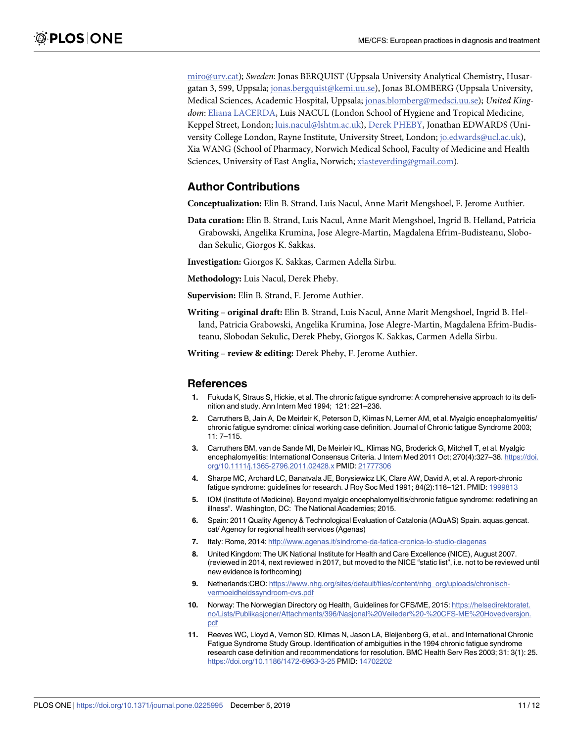<span id="page-10-0"></span>miro@urv.cat); *Sweden*: Jonas BERQUIST (Uppsala University Analytical Chemistry, Husargatan 3, 599, Uppsala; jonas.bergquist@kemi.uu.se), Jonas BLOMBERG (Uppsala University, Medical Sciences, Academic Hospital, Uppsala; jonas.blomberg@medsci.uu.se); *United Kingdom*: Eliana [LACERDA](https://www.cost.eu/actions/CA15111/111308), Luis NACUL (London School of Hygiene and Tropical Medicine, Keppel Street, London; luis.nacul@lshtm.ac.uk), Derek [PHEBY,](https://www.cost.eu/actions/CA15111/136003) Jonathan EDWARDS (University College London, Rayne Institute, University Street, London; jo.edwards@ucl.ac.uk), Xia WANG (School of Pharmacy, Norwich Medical School, Faculty of Medicine and Health Sciences, University of East Anglia, Norwich; xiasteverding@gmail.com).

### **Author Contributions**

**Conceptualization:** Elin B. Strand, Luis Nacul, Anne Marit Mengshoel, F. Jerome Authier.

- **Data curation:** Elin B. Strand, Luis Nacul, Anne Marit Mengshoel, Ingrid B. Helland, Patricia Grabowski, Angelika Krumina, Jose Alegre-Martin, Magdalena Efrim-Budisteanu, Slobodan Sekulic, Giorgos K. Sakkas.
- **Investigation:** Giorgos K. Sakkas, Carmen Adella Sirbu.

**Methodology:** Luis Nacul, Derek Pheby.

**Supervision:** Elin B. Strand, F. Jerome Authier.

**Writing – original draft:** Elin B. Strand, Luis Nacul, Anne Marit Mengshoel, Ingrid B. Helland, Patricia Grabowski, Angelika Krumina, Jose Alegre-Martin, Magdalena Efrim-Budisteanu, Slobodan Sekulic, Derek Pheby, Giorgos K. Sakkas, Carmen Adella Sirbu.

**Writing – review & editing:** Derek Pheby, F. Jerome Authier.

#### **References**

- **[1](#page-1-0).** Fukuda K, Straus S, Hickie, et al. The chronic fatigue syndrome: A comprehensive approach to its definition and study. Ann Intern Med 1994; 121: 221–236.
- **[2](#page-1-0).** Carruthers B, Jain A, De Meirleir K, Peterson D, Klimas N, Lerner AM, et al. Myalgic encephalomyelitis/ chronic fatigue syndrome: clinical working case definition. Journal of Chronic fatigue Syndrome 2003; 11: 7–115.
- **[3](#page-1-0).** Carruthers BM, van de Sande MI, De Meirleir KL, Klimas NG, Broderick G, Mitchell T, et al. Myalgic encephalomyelitis: International Consensus Criteria. J Intern Med 2011 Oct; 270(4):327–38. [https://doi.](https://doi.org/10.1111/j.1365-2796.2011.02428.x) [org/10.1111/j.1365-2796.2011.02428.x](https://doi.org/10.1111/j.1365-2796.2011.02428.x) PMID: [21777306](http://www.ncbi.nlm.nih.gov/pubmed/21777306)
- **[4](#page-1-0).** Sharpe MC, Archard LC, Banatvala JE, Borysiewicz LK, Clare AW, David A, et al. A report-chronic fatigue syndrome: guidelines for research. J Roy Soc Med 1991; 84(2):118–121. PMID: [1999813](http://www.ncbi.nlm.nih.gov/pubmed/1999813)
- **[5](#page-1-0).** IOM (Institute of Medicine). Beyond myalgic encephalomyelitis/chronic fatigue syndrome: redefining an illness". Washington, DC: The National Academies; 2015.
- **[6](#page-3-0).** Spain: 2011 Quality Agency & Technological Evaluation of Catalonia (AQuAS) Spain. aquas.gencat. cat/ Agency for regional health services (Agenas)
- **[7](#page-3-0).** Italy: Rome, 2014: <http://www.agenas.it/sindrome-da-fatica-cronica-lo-studio-diagenas>
- **[8](#page-3-0).** United Kingdom: The UK National Institute for Health and Care Excellence (NICE), August 2007. (reviewed in 2014, next reviewed in 2017, but moved to the NICE "static list", i.e. not to be reviewed until new evidence is forthcoming)
- **[9](#page-3-0).** Netherlands:CBO: [https://www.nhg.org/sites/default/files/content/nhg\\_org/uploads/chronisch](https://www.nhg.org/sites/default/files/content/nhg_org/uploads/chronisch-vermoeidheidssyndroom-cvs.pdf)[vermoeidheidssyndroom-cvs.pdf](https://www.nhg.org/sites/default/files/content/nhg_org/uploads/chronisch-vermoeidheidssyndroom-cvs.pdf)
- **[10](#page-3-0).** Norway: The Norwegian Directory og Health, Guidelines for CFS/ME, 2015: [https://helsedirektoratet.](https://helsedirektoratet.no/Lists/Publikasjoner/Attachments/396/Nasjonal%20Veileder%20-%20CFS-ME%20Hovedversjon.pdf) [no/Lists/Publikasjoner/Attachments/396/Nasjonal%20Veileder%20-%20CFS-ME%20Hovedversjon.](https://helsedirektoratet.no/Lists/Publikasjoner/Attachments/396/Nasjonal%20Veileder%20-%20CFS-ME%20Hovedversjon.pdf) [pdf](https://helsedirektoratet.no/Lists/Publikasjoner/Attachments/396/Nasjonal%20Veileder%20-%20CFS-ME%20Hovedversjon.pdf)
- **[11](#page-7-0).** Reeves WC, Lloyd A, Vernon SD, Klimas N, Jason LA, Bleijenberg G, et al., and International Chronic Fatigue Syndrome Study Group. Identification of ambiguities in the 1994 chronic fatigue syndrome research case definition and recommendations for resolution. BMC Health Serv Res 2003; 31: 3(1): 25. <https://doi.org/10.1186/1472-6963-3-25> PMID: [14702202](http://www.ncbi.nlm.nih.gov/pubmed/14702202)